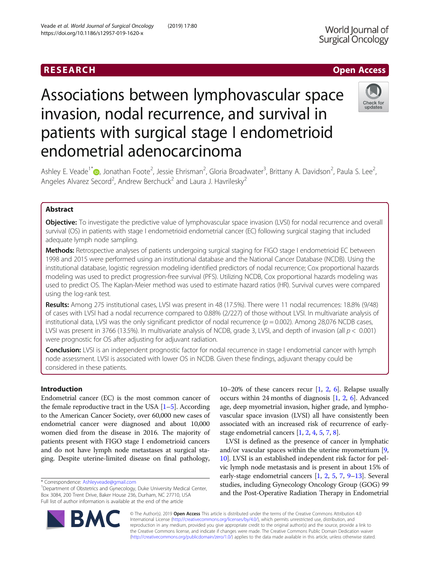# RESEARCH **RESEARCH CHANNEL CONTROL**

# Associations between lymphovascular space invasion, nodal recurrence, and survival in patients with surgical stage I endometrioid endometrial adenocarcinoma



Ashley E. Veade<sup>1\*</sup>®[,](http://orcid.org/0000-0001-5275-9893) Jonathan Foote<sup>2</sup>, Jessie Ehrisman<sup>2</sup>, Gloria Broadwater<sup>3</sup>, Brittany A. Davidson<sup>2</sup>, Paula S. Lee<sup>2</sup> , Angeles Alvarez Secord<sup>2</sup>, Andrew Berchuck<sup>2</sup> and Laura J. Havrilesky<sup>2</sup>

# Abstract

Objective: To investigate the predictive value of lymphovascular space invasion (LVSI) for nodal recurrence and overall survival (OS) in patients with stage I endometrioid endometrial cancer (EC) following surgical staging that included adequate lymph node sampling.

Methods: Retrospective analyses of patients undergoing surgical staging for FIGO stage I endometrioid EC between 1998 and 2015 were performed using an institutional database and the National Cancer Database (NCDB). Using the institutional database, logistic regression modeling identified predictors of nodal recurrence; Cox proportional hazards modeling was used to predict progression-free survival (PFS). Utilizing NCDB, Cox proportional hazards modeling was used to predict OS. The Kaplan-Meier method was used to estimate hazard ratios (HR). Survival curves were compared using the log-rank test.

Results: Among 275 institutional cases, LVSI was present in 48 (17.5%). There were 11 nodal recurrences: 18.8% (9/48) of cases with LVSI had a nodal recurrence compared to 0.88% (2/227) of those without LVSI. In multivariate analysis of institutional data, LVSI was the only significant predictor of nodal recurrence ( $p = 0.002$ ). Among 28,076 NCDB cases, LVSI was present in 3766 (13.5%). In multivariate analysis of NCDB, grade 3, LVSI, and depth of invasion (all  $p < 0.001$ ) were prognostic for OS after adjusting for adjuvant radiation.

Conclusion: LVSI is an independent prognostic factor for nodal recurrence in stage I endometrial cancer with lymph node assessment. LVSI is associated with lower OS in NCDB. Given these findings, adjuvant therapy could be considered in these patients.

# Introduction

Endometrial cancer (EC) is the most common cancer of the female reproductive tract in the USA  $[1–5]$  $[1–5]$  $[1–5]$  $[1–5]$  $[1–5]$ . According to the American Cancer Society, over 60,000 new cases of endometrial cancer were diagnosed and about 10,000 women died from the disease in 2016. The majority of patients present with FIGO stage I endometrioid cancers and do not have lymph node metastases at surgical staging. Despite uterine-limited disease on final pathology,

10–[2](#page-7-0)0% of these cancers recur  $[1, 2, 6]$  $[1, 2, 6]$  $[1, 2, 6]$  $[1, 2, 6]$ . Relapse usually occurs within [2](#page-7-0)4 months of diagnosis  $[1, 2, 6]$  $[1, 2, 6]$  $[1, 2, 6]$ . Advanced age, deep myometrial invasion, higher grade, and lymphovascular space invasion (LVSI) all have consistently been associated with an increased risk of recurrence of earlystage endometrial cancers [[1,](#page-7-0) [2](#page-7-0), [4,](#page-7-0) [5](#page-7-0), [7,](#page-7-0) [8](#page-7-0)].

LVSI is defined as the presence of cancer in lymphatic and/or vascular spaces within the uterine myometrium [[9](#page-7-0), [10](#page-7-0)]. LVSI is an established independent risk factor for pelvic lymph node metastasis and is present in about 15% of early-stage endometrial cancers [\[1,](#page-7-0) [2](#page-7-0), [5,](#page-7-0) [7](#page-7-0), [9](#page-7-0)–[13](#page-7-0)]. Several studies, including Gynecology Oncology Group (GOG) 99 and the Post-Operative Radiation Therapy in Endometrial



© The Author(s). 2019 **Open Access** This article is distributed under the terms of the Creative Commons Attribution 4.0 International License [\(http://creativecommons.org/licenses/by/4.0/](http://creativecommons.org/licenses/by/4.0/)), which permits unrestricted use, distribution, and reproduction in any medium, provided you give appropriate credit to the original author(s) and the source, provide a link to the Creative Commons license, and indicate if changes were made. The Creative Commons Public Domain Dedication waiver [\(http://creativecommons.org/publicdomain/zero/1.0/](http://creativecommons.org/publicdomain/zero/1.0/)) applies to the data made available in this article, unless otherwise stated.

<sup>\*</sup> Correspondence: [Ashleyveade@gmail.com](mailto:Ashleyveade@gmail.com) <sup>1</sup>

<sup>&</sup>lt;sup>1</sup>Department of Obstetrics and Gynecology, Duke University Medical Center, Box 3084, 200 Trent Drive, Baker House 236, Durham, NC 27710, USA Full list of author information is available at the end of the article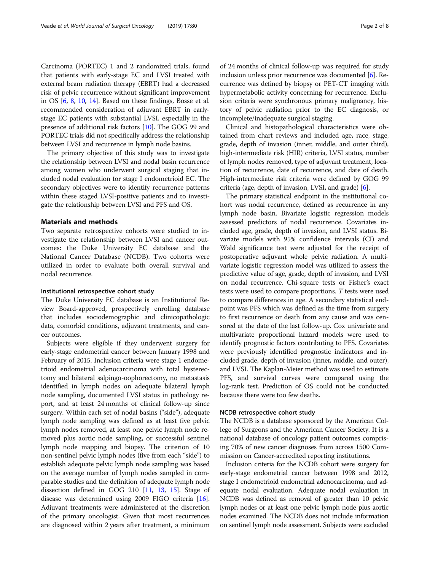Carcinoma (PORTEC) 1 and 2 randomized trials, found that patients with early-stage EC and LVSI treated with external beam radiation therapy (EBRT) had a decreased risk of pelvic recurrence without significant improvement in OS [\[6](#page-7-0), [8,](#page-7-0) [10,](#page-7-0) [14](#page-7-0)]. Based on these findings, Bosse et al. recommended consideration of adjuvant EBRT in earlystage EC patients with substantial LVSI, especially in the presence of additional risk factors [\[10\]](#page-7-0). The GOG 99 and PORTEC trials did not specifically address the relationship between LVSI and recurrence in lymph node basins.

The primary objective of this study was to investigate the relationship between LVSI and nodal basin recurrence among women who underwent surgical staging that included nodal evaluation for stage I endometrioid EC. The secondary objectives were to identify recurrence patterns within these staged LVSI-positive patients and to investigate the relationship between LVSI and PFS and OS.

#### Materials and methods

Two separate retrospective cohorts were studied to investigate the relationship between LVSI and cancer outcomes: the Duke University EC database and the National Cancer Database (NCDB). Two cohorts were utilized in order to evaluate both overall survival and nodal recurrence.

#### Institutional retrospective cohort study

The Duke University EC database is an Institutional Review Board-approved, prospectively enrolling database that includes sociodemographic and clinicopathologic data, comorbid conditions, adjuvant treatments, and cancer outcomes.

Subjects were eligible if they underwent surgery for early-stage endometrial cancer between January 1998 and February of 2015. Inclusion criteria were stage 1 endometrioid endometrial adenocarcinoma with total hysterectomy and bilateral salpingo-oophorectomy, no metastasis identified in lymph nodes on adequate bilateral lymph node sampling, documented LVSI status in pathology report, and at least 24 months of clinical follow-up since surgery. Within each set of nodal basins ("side"), adequate lymph node sampling was defined as at least five pelvic lymph nodes removed, at least one pelvic lymph node removed plus aortic node sampling, or successful sentinel lymph node mapping and biopsy. The criterion of 10 non-sentinel pelvic lymph nodes (five from each "side") to establish adequate pelvic lymph node sampling was based on the average number of lymph nodes sampled in comparable studies and the definition of adequate lymph node dissection defined in GOG 210 [\[11,](#page-7-0) [13,](#page-7-0) [15](#page-7-0)]. Stage of disease was determined using 2009 FIGO criteria [[16](#page-7-0)]. Adjuvant treatments were administered at the discretion of the primary oncologist. Given that most recurrences are diagnosed within 2 years after treatment, a minimum

of 24 months of clinical follow-up was required for study inclusion unless prior recurrence was documented [\[6\]](#page-7-0). Recurrence was defined by biopsy or PET-CT imaging with hypermetabolic activity concerning for recurrence. Exclusion criteria were synchronous primary malignancy, history of pelvic radiation prior to the EC diagnosis, or incomplete/inadequate surgical staging.

Clinical and histopathological characteristics were obtained from chart reviews and included age, race, stage, grade, depth of invasion (inner, middle, and outer third), high-intermediate risk (HIR) criteria, LVSI status, number of lymph nodes removed, type of adjuvant treatment, location of recurrence, date of recurrence, and date of death. High-intermediate risk criteria were defined by GOG 99 criteria (age, depth of invasion, LVSI, and grade) [[6](#page-7-0)].

The primary statistical endpoint in the institutional cohort was nodal recurrence, defined as recurrence in any lymph node basin. Bivariate logistic regression models assessed predictors of nodal recurrence. Covariates included age, grade, depth of invasion, and LVSI status. Bivariate models with 95% confidence intervals (CI) and Wald significance test were adjusted for the receipt of postoperative adjuvant whole pelvic radiation. A multivariate logistic regression model was utilized to assess the predictive value of age, grade, depth of invasion, and LVSI on nodal recurrence. Chi-square tests or Fisher's exact tests were used to compare proportions. T tests were used to compare differences in age. A secondary statistical endpoint was PFS which was defined as the time from surgery to first recurrence or death from any cause and was censored at the date of the last follow-up. Cox univariate and multivariate proportional hazard models were used to identify prognostic factors contributing to PFS. Covariates were previously identified prognostic indicators and included grade, depth of invasion (inner, middle, and outer), and LVSI. The Kaplan-Meier method was used to estimate PFS, and survival curves were compared using the log-rank test. Prediction of OS could not be conducted because there were too few deaths.

#### NCDB retrospective cohort study

The NCDB is a database sponsored by the American College of Surgeons and the American Cancer Society. It is a national database of oncology patient outcomes comprising 70% of new cancer diagnoses from across 1500 Commission on Cancer-accredited reporting institutions.

Inclusion criteria for the NCDB cohort were surgery for early-stage endometrial cancer between 1998 and 2012, stage I endometrioid endometrial adenocarcinoma, and adequate nodal evaluation. Adequate nodal evaluation in NCDB was defined as removal of greater than 10 pelvic lymph nodes or at least one pelvic lymph node plus aortic nodes examined. The NCDB does not include information on sentinel lymph node assessment. Subjects were excluded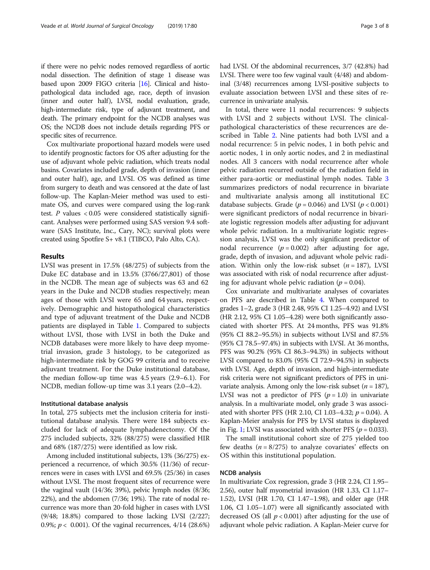if there were no pelvic nodes removed regardless of aortic nodal dissection. The definition of stage 1 disease was based upon 2009 FIGO criteria [\[16](#page-7-0)]. Clinical and histopathological data included age, race, depth of invasion (inner and outer half), LVSI, nodal evaluation, grade, high-intermediate risk, type of adjuvant treatment, and death. The primary endpoint for the NCDB analyses was OS; the NCDB does not include details regarding PFS or specific sites of recurrence.

Cox multivariate proportional hazard models were used to identify prognostic factors for OS after adjusting for the use of adjuvant whole pelvic radiation, which treats nodal basins. Covariates included grade, depth of invasion (inner and outer half), age, and LVSI. OS was defined as time from surgery to death and was censored at the date of last follow-up. The Kaplan-Meier method was used to estimate OS, and curves were compared using the log-rank test.  $P$  values < 0.05 were considered statistically significant. Analyses were performed using SAS version 9.4 software (SAS Institute, Inc., Cary, NC); survival plots were created using Spotfire S+ v8.1 (TIBCO, Palo Alto, CA).

#### Results

LVSI was present in 17.5% (48/275) of subjects from the Duke EC database and in 13.5% (3766/27,801) of those in the NCDB. The mean age of subjects was 63 and 62 years in the Duke and NCDB studies respectively; mean ages of those with LVSI were 65 and 64 years, respectively. Demographic and histopathological characteristics and type of adjuvant treatment of the Duke and NCDB patients are displayed in Table [1](#page-3-0). Compared to subjects without LVSI, those with LVSI in both the Duke and NCDB databases were more likely to have deep myometrial invasion, grade 3 histology, to be categorized as high-intermediate risk by GOG 99 criteria and to receive adjuvant treatment. For the Duke institutional database, the median follow-up time was 4.5 years (2.9–6.1). For NCDB, median follow-up time was 3.1 years (2.0–4.2).

#### Institutional database analysis

In total, 275 subjects met the inclusion criteria for institutional database analysis. There were 184 subjects excluded for lack of adequate lymphadenectomy. Of the 275 included subjects, 32% (88/275) were classified HIR and 68% (187/275) were identified as low risk.

Among included institutional subjects, 13% (36/275) experienced a recurrence, of which 30.5% (11/36) of recurrences were in cases with LVSI and 69.5% (25/36) in cases without LVSI. The most frequent sites of recurrence were the vaginal vault (14/36; 39%), pelvic lymph nodes (8/36; 22%), and the abdomen (7/36; 19%). The rate of nodal recurrence was more than 20-fold higher in cases with LVSI (9/48; 18.8%) compared to those lacking LVSI (2/227; 0.9%;  $p < 0.001$ ). Of the vaginal recurrences, 4/14 (28.6%) had LVSI. Of the abdominal recurrences, 3/7 (42.8%) had LVSI. There were too few vaginal vault (4/48) and abdominal (3/48) recurrences among LVSI-positive subjects to evaluate association between LVSI and these sites of recurrence in univariate analysis.

In total, there were 11 nodal recurrences: 9 subjects with LVSI and 2 subjects without LVSI. The clinicalpathological characteristics of these recurrences are described in Table [2.](#page-4-0) Nine patients had both LVSI and a nodal recurrence: 5 in pelvic nodes, 1 in both pelvic and aortic nodes, 1 in only aortic nodes, and 2 in mediastinal nodes. All 3 cancers with nodal recurrence after whole pelvic radiation recurred outside of the radiation field in either para-aortic or mediastinal lymph nodes. Table [3](#page-4-0) summarizes predictors of nodal recurrence in bivariate and multivariate analysis among all institutional EC database subjects. Grade ( $p = 0.046$ ) and LVSI ( $p < 0.001$ ) were significant predictors of nodal recurrence in bivariate logistic regression models after adjusting for adjuvant whole pelvic radiation. In a multivariate logistic regression analysis, LVSI was the only significant predictor of nodal recurrence  $(p = 0.002)$  after adjusting for age, grade, depth of invasion, and adjuvant whole pelvic radiation. Within only the low-risk subset  $(n = 187)$ , LVSI was associated with risk of nodal recurrence after adjusting for adjuvant whole pelvic radiation ( $p = 0.04$ ).

Cox univariate and multivariate analyses of covariates on PFS are described in Table [4](#page-5-0). When compared to grades 1–2, grade 3 (HR 2.48, 95% CI 1.25–4.92) and LVSI (HR 2.12, 95% CI 1.05–4.28) were both significantly associated with shorter PFS. At 24 months, PFS was 91.8% (95% CI 88.2–95.5%) in subjects without LVSI and 87.5% (95% CI 78.5–97.4%) in subjects with LVSI. At 36 months, PFS was 90.2% (95% CI 86.3–94.3%) in subjects without LVSI compared to 83.0% (95% CI 72.9–94.5%) in subjects with LVSI. Age, depth of invasion, and high-intermediate risk criteria were not significant predictors of PFS in univariate analysis. Among only the low-risk subset ( $n = 187$ ), LVSI was not a predictor of PFS ( $p = 1.0$ ) in univariate analysis. In a multivariate model, only grade 3 was associated with shorter PFS (HR 2.10, CI 1.03–4.32;  $p = 0.04$ ). A Kaplan-Meier analysis for PFS by LVSI status is displayed in Fig. [1;](#page-5-0) LVSI was associated with shorter PFS ( $p = 0.033$ ).

The small institutional cohort size of 275 yielded too few deaths  $(n = 8/275)$  to analyze covariates' effects on OS within this institutional population.

#### NCDB analysis

In multivariate Cox regression, grade 3 (HR 2.24, CI 1.95– 2.56), outer half myometrial invasion (HR 1.33, CI 1.17– 1.52), LVSI (HR 1.70, CI 1.47–1.98), and older age (HR 1.06, CI 1.05–1.07) were all significantly associated with decreased OS (all  $p < 0.001$ ) after adjusting for the use of adjuvant whole pelvic radiation. A Kaplan-Meier curve for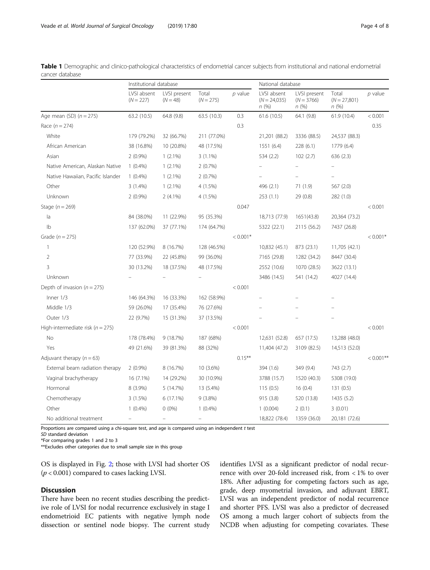|                                      | Institutional database     |                            |                      |            | National database                     |                                      |                                 |              |
|--------------------------------------|----------------------------|----------------------------|----------------------|------------|---------------------------------------|--------------------------------------|---------------------------------|--------------|
|                                      | LVSI absent<br>$(N = 227)$ | LVSI present<br>$(N = 48)$ | Total<br>$(N = 275)$ | $p$ value  | LVSI absent<br>$(N = 24,035)$<br>n(%) | LVSI present<br>$(N = 3766)$<br>n(%) | Total<br>$(N = 27,801)$<br>n(%) | $p$ value    |
| Age mean (SD) $(n = 275)$            | 63.2 (10.5)                | 64.8 (9.8)                 | 63.5 (10.3)          | 0.3        | 61.6(10.5)                            | 64.1 (9.8)                           | 61.9 (10.4)                     | < 0.001      |
| Race $(n = 274)$                     |                            |                            |                      | 0.3        |                                       |                                      |                                 | 0.35         |
| White                                | 179 (79.2%)                | 32 (66.7%)                 | 211 (77.0%)          |            | 21,201 (88.2)                         | 3336 (88.5)                          | 24,537 (88.3)                   |              |
| African American                     | 38 (16.8%)                 | 10 (20.8%)                 | 48 (17.5%)           |            | 1551(6.4)                             | 228 (6.1)                            | 1779 (6.4)                      |              |
| Asian                                | $2(0.9\%)$                 | $1(2.1\%)$                 | $3(1.1\%)$           |            | 534 (2.2)                             | 102(2.7)                             | 636 (2.3)                       |              |
| Native American, Alaskan Native      | $1(0.4\%)$                 | $1(2.1\%)$                 | 2(0.7%)              |            |                                       |                                      |                                 |              |
| Native Hawaiian, Pacific Islander    | $1(0.4\%)$                 | $1(2.1\%)$                 | 2(0.7%)              |            |                                       |                                      |                                 |              |
| Other                                | 3(1.4%)                    | $1(2.1\%)$                 | 4 (1.5%)             |            | 496 (2.1)                             | 71 (1.9)                             | 567 (2.0)                       |              |
| Unknown                              | $2(0.9\%)$                 | $2(4.1\%)$                 | 4 (1.5%)             |            | 253(1.1)                              | 29 (0.8)                             | 282 (1.0)                       |              |
| Stage $(n = 269)$                    |                            |                            |                      | 0.047      |                                       |                                      |                                 | < 0.001      |
| la                                   | 84 (38.0%)                 | 11 (22.9%)                 | 95 (35.3%)           |            | 18,713 (77.9)                         | 1651(43.8)                           | 20,364 (73.2)                   |              |
| Ib                                   | 137 (62.0%)                | 37 (77.1%)                 | 174 (64.7%)          |            | 5322 (22.1)                           | 2115 (56.2)                          | 7437 (26.8)                     |              |
| Grade $(n = 275)$                    |                            |                            |                      | $< 0.001*$ |                                       |                                      |                                 | $< 0.001*$   |
| $\overline{1}$                       | 120 (52.9%)                | 8 (16.7%)                  | 128 (46.5%)          |            | 10,832 (45.1)                         | 873 (23.1)                           | 11,705 (42.1)                   |              |
| $\overline{2}$                       | 77 (33.9%)                 | 22 (45.8%)                 | 99 (36.0%)           |            | 7165 (29.8)                           | 1282 (34.2)                          | 8447 (30.4)                     |              |
| $\overline{3}$                       | 30 (13.2%)                 | 18 (37.5%)                 | 48 (17.5%)           |            | 2552 (10.6)                           | 1070 (28.5)                          | 3622 (13.1)                     |              |
| Unknown                              |                            |                            |                      |            | 3486 (14.5)                           | 541 (14.2)                           | 4027 (14.4)                     |              |
| Depth of invasion ( $n = 275$ )      |                            |                            |                      | < 0.001    |                                       |                                      |                                 |              |
| Inner $1/3$                          | 146 (64.3%)                | 16 (33.3%)                 | 162 (58.9%)          |            |                                       |                                      |                                 |              |
| Middle 1/3                           | 59 (26.0%)                 | 17 (35.4%)                 | 76 (27.6%)           |            |                                       |                                      |                                 |              |
| Outer 1/3                            | 22 (9.7%)                  | 15 (31.3%)                 | 37 (13.5%)           |            |                                       |                                      |                                 |              |
| High-intermediate risk ( $n = 275$ ) |                            |                            |                      | < 0.001    |                                       |                                      |                                 | < 0.001      |
| No                                   | 178 (78.4%)                | 9(18.7%)                   | 187 (68%)            |            | 12,631 (52.8)                         | 657 (17.5)                           | 13,288 (48.0)                   |              |
| Yes                                  | 49 (21.6%)                 | 39 (81.3%)                 | 88 (32%)             |            | 11,404 (47.2)                         | 3109 (82.5)                          | 14,513 (52.0)                   |              |
| Adjuvant therapy $(n = 63)$          |                            |                            |                      | $0.15***$  |                                       |                                      |                                 | $< 0.001$ ** |
| External beam radiation therapy      | $2(0.9\%)$                 | 8 (16.7%)                  | 10 (3.6%)            |            | 394 (1.6)                             | 349 (9.4)                            | 743 (2.7)                       |              |
| Vaginal brachytherapy                | 16 (7.1%)                  | 14 (29.2%)                 | 30 (10.9%)           |            | 3788 (15.7)                           | 1520 (40.3)                          | 5308 (19.0)                     |              |
| Hormonal                             | 8 (3.9%)                   | 5 (14.7%)                  | 13 (5.4%)            |            | 115(0.5)                              | 16(0.4)                              | 131(0.5)                        |              |
| Chemotherapy                         | 3(1.5%)                    | 6 (17.1%)                  | $9(3.8\%)$           |            | 915 (3.8)                             | 520 (13.8)                           | 1435(5.2)                       |              |
| Other                                | $1(0.4\%)$                 | $0(0\%)$                   | $1(0.4\%)$           |            | 1(0.004)                              | 2(0.1)                               | 3(0.01)                         |              |
| No additional treatment              |                            |                            |                      |            | 18,822 (78.4)                         | 1359 (36.0)                          | 20,181 (72.6)                   |              |

<span id="page-3-0"></span>Table 1 Demographic and clinico-pathological characteristics of endometrial cancer subjects from institutional and national endometrial cancer database

Proportions are compared using a chi-square test, and age is compared using an independent t test

SD standard deviation

\*For comparing grades 1 and 2 to 3

\*\*Excludes other categories due to small sample size in this group

OS is displayed in Fig. [2](#page-6-0); those with LVSI had shorter OS  $(p < 0.001)$  compared to cases lacking LVSI.

### **Discussion**

There have been no recent studies describing the predictive role of LVSI for nodal recurrence exclusively in stage I endometrioid EC patients with negative lymph node dissection or sentinel node biopsy. The current study

identifies LVSI as a significant predictor of nodal recurrence with over 20-fold increased risk, from < 1% to over 18%. After adjusting for competing factors such as age, grade, deep myometrial invasion, and adjuvant EBRT, LVSI was an independent predictor of nodal recurrence and shorter PFS. LVSI was also a predictor of decreased OS among a much larger cohort of subjects from the NCDB when adjusting for competing covariates. These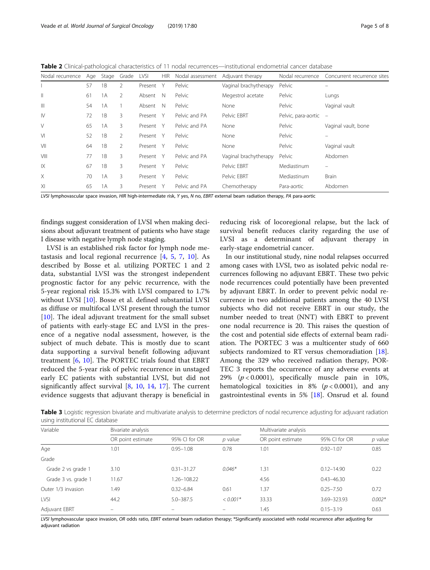<span id="page-4-0"></span>Table 2 Clinical-pathological characteristics of 11 nodal recurrences—institutional endometrial cancer database

| Nodal recurrence       | Age | Stage | Grade          | LVSI      | HIR | Nodal assessment | Adjuvant therapy      | Nodal recurrence    | Concurrent recurrence sites |
|------------------------|-----|-------|----------------|-----------|-----|------------------|-----------------------|---------------------|-----------------------------|
|                        | 57  | 1B    | 2              | Present   | Y   | Pelvic           | Vaginal brachytherapy | Pelvic              | -                           |
| Ш                      | 61  | 1A    | $\mathcal{P}$  | Absent    | N   | Pelvic           | Megestrol acetate     | Pelvic              | Lungs                       |
| Ш                      | 54  | 1A    |                | Absent    | N   | Pelvic           | None                  | Pelvic              | Vaginal vault               |
| $\mathsf{I}\mathsf{V}$ | 72  | 1B    | 3              | Present   | Y   | Pelvic and PA    | Pelvic EBRT           | Pelvic, para-aortic | $\overline{\phantom{a}}$    |
| V                      | 65  | 1A    | 3              | Present Y |     | Pelvic and PA    | None                  | Pelvic              | Vaginal vault, bone         |
| VI                     | 52  | 1B    | 2              | Present   | - Y | Pelvic           | None                  | Pelvic              | -                           |
| VII                    | 64  | 1B    | $\overline{2}$ | Present Y |     | Pelvic           | None                  | Pelvic              | Vaginal vault               |
| VIII                   | 77  | 1B    | 3              | Present Y |     | Pelvic and PA    | Vaginal brachytherapy | Pelvic              | Abdomen                     |
| 1X                     | 67  | 1B    | 3              | Present Y |     | Pelvic           | Pelvic EBRT           | Mediastinum         | $=$                         |
| X                      | 70  | 1A    | 3              | Present Y |     | Pelvic           | Pelvic EBRT           | Mediastinum         | Brain                       |
| XI                     | 65  | 1A    | 3              | Present   | Y   | Pelvic and PA    | Chemotherapy          | Para-aortic         | Abdomen                     |

LVSI lymphovascular space invasion, HIR high-intermediate risk, Y yes, N no, EBRT external beam radiation therapy, PA para-aortic

findings suggest consideration of LVSI when making decisions about adjuvant treatment of patients who have stage I disease with negative lymph node staging.

LVSI is an established risk factor for lymph node metastasis and local regional recurrence [[4,](#page-7-0) [5,](#page-7-0) [7](#page-7-0), [10\]](#page-7-0). As described by Bosse et al. utilizing PORTEC 1 and 2 data, substantial LVSI was the strongest independent prognostic factor for any pelvic recurrence, with the 5-year regional risk 15.3% with LVSI compared to 1.7% without LVSI [[10\]](#page-7-0). Bosse et al. defined substantial LVSI as diffuse or multifocal LVSI present through the tumor  $[10]$  $[10]$ . The ideal adjuvant treatment for the small subset of patients with early-stage EC and LVSI in the presence of a negative nodal assessment, however, is the subject of much debate. This is mostly due to scant data supporting a survival benefit following adjuvant treatment [[6](#page-7-0), [10\]](#page-7-0). The PORTEC trials found that EBRT reduced the 5-year risk of pelvic recurrence in unstaged early EC patients with substantial LVSI, but did not significantly affect survival [[8,](#page-7-0) [10,](#page-7-0) [14](#page-7-0), [17](#page-7-0)]. The current evidence suggests that adjuvant therapy is beneficial in reducing risk of locoregional relapse, but the lack of survival benefit reduces clarity regarding the use of LVSI as a determinant of adjuvant therapy in early-stage endometrial cancer.

In our institutional study, nine nodal relapses occurred among cases with LVSI, two as isolated pelvic nodal recurrences following no adjuvant EBRT. These two pelvic node recurrences could potentially have been prevented by adjuvant EBRT. In order to prevent pelvic nodal recurrence in two additional patients among the 40 LVSI subjects who did not receive EBRT in our study, the number needed to treat (NNT) with EBRT to prevent one nodal recurrence is 20. This raises the question of the cost and potential side effects of external beam radiation. The PORTEC 3 was a multicenter study of 660 subjects randomized to RT versus chemoradiation [\[18](#page-7-0)]. Among the 329 who received radiation therapy, POR-TEC 3 reports the occurrence of any adverse events at 29%  $(p < 0.0001)$ , specifically muscle pain in 10%, hematological toxicities in 8% ( $p < 0.0001$ ), and any gastrointestinal events in 5% [[18\]](#page-7-0). Onsrud et al. found

Table 3 Logistic regression bivariate and multivariate analysis to determine predictors of nodal recurrence adjusting for adjuvant radiation using institutional EC database

| Variable            | Bivariate analysis       |                          |                          | Multivariate analysis |                |          |  |
|---------------------|--------------------------|--------------------------|--------------------------|-----------------------|----------------|----------|--|
|                     | OR point estimate        | 95% CI for OR            | $p$ value                | OR point estimate     | 95% CI for OR  | p value  |  |
| Age                 | 1.01                     | $0.95 - 1.08$            | 0.78                     | 1.01                  | $0.92 - 1.07$  | 0.85     |  |
| Grade               |                          |                          |                          |                       |                |          |  |
| Grade 2 vs grade 1  | 3.10                     | $0.31 - 31.27$           | $0.046*$                 | 1.31                  | $0.12 - 14.90$ | 0.22     |  |
| Grade 3 vs. grade 1 | 11.67                    | 1.26-108.22              |                          | 4.56                  | $0.43 - 46.30$ |          |  |
| Outer 1/3 invasion  | 1.49                     | $0.32 - 6.84$            | 0.61                     | 1.37                  | $0.25 - 7.50$  | 0.72     |  |
| LVSI                | 44.2                     | $5.0 - 387.5$            | $< 0.001*$               | 33.33                 | 3.69-323.93    | $0.002*$ |  |
| Adjuvant EBRT       | $\overline{\phantom{0}}$ | $\overline{\phantom{0}}$ | $\overline{\phantom{0}}$ | 1.45                  | $0.15 - 3.19$  | 0.63     |  |

LVSI lymphovascular space invasion, OR odds ratio, EBRT external beam radiation therapy; \*Significantly associated with nodal recurrence after adjusting for adjuvant radiation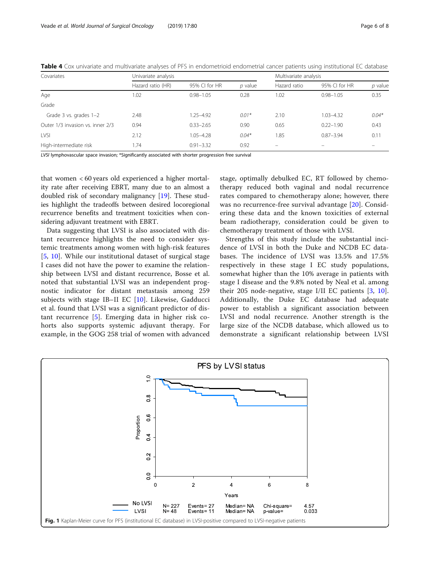<span id="page-5-0"></span>

| Covariates                       | Univariate analysis |               | Multivariate analysis |                          |               |         |
|----------------------------------|---------------------|---------------|-----------------------|--------------------------|---------------|---------|
|                                  | Hazard ratio (HR)   | 95% CI for HR | $p$ value             | Hazard ratio             | 95% CI for HR | p value |
| Age                              | 1.02                | $0.98 - 1.05$ | 0.28                  | 1.02                     | $0.98 - 1.05$ | 0.35    |
| Grade                            |                     |               |                       |                          |               |         |
| Grade 3 vs. grades 1-2           | 2.48                | $1.25 - 4.92$ | $0.01*$               | 2.10                     | $1.03 - 4.32$ | $0.04*$ |
| Outer 1/3 invasion vs. inner 2/3 | 0.94                | $0.33 - 2.65$ | 0.90                  | 0.65                     | $0.22 - 1.90$ | 0.43    |
| <b>LVSI</b>                      | 2.12                | $1.05 - 4.28$ | $0.04*$               | 1.85                     | $0.87 - 3.94$ | 0.11    |
| High-intermediate risk           | 1.74                | $0.91 - 3.32$ | 0.92                  | $\overline{\phantom{0}}$ |               |         |

LVSI lymphovascular space invasion; \*Significantly associated with shorter progression free survival

that women < 60 years old experienced a higher mortality rate after receiving EBRT, many due to an almost a doubled risk of secondary malignancy [\[19](#page-7-0)]. These studies highlight the tradeoffs between desired locoregional recurrence benefits and treatment toxicities when considering adjuvant treatment with EBRT.

Data suggesting that LVSI is also associated with distant recurrence highlights the need to consider systemic treatments among women with high-risk features [[5,](#page-7-0) [10\]](#page-7-0). While our institutional dataset of surgical stage I cases did not have the power to examine the relationship between LVSI and distant recurrence, Bosse et al. noted that substantial LVSI was an independent prognostic indicator for distant metastasis among 259 subjects with stage IB–II EC  $[10]$  $[10]$ . Likewise, Gadducci et al. found that LVSI was a significant predictor of distant recurrence [[5\]](#page-7-0). Emerging data in higher risk cohorts also supports systemic adjuvant therapy. For example, in the GOG 258 trial of women with advanced

stage, optimally debulked EC, RT followed by chemotherapy reduced both vaginal and nodal recurrence rates compared to chemotherapy alone; however, there was no recurrence-free survival advantage [\[20](#page-7-0)]. Considering these data and the known toxicities of external beam radiotherapy, consideration could be given to chemotherapy treatment of those with LVSI.

Strengths of this study include the substantial incidence of LVSI in both the Duke and NCDB EC databases. The incidence of LVSI was 13.5% and 17.5% respectively in these stage I EC study populations, somewhat higher than the 10% average in patients with stage I disease and the 9.8% noted by Neal et al. among their 205 node-negative, stage I/II EC patients [[3,](#page-7-0) [10](#page-7-0)]. Additionally, the Duke EC database had adequate power to establish a significant association between LVSI and nodal recurrence. Another strength is the large size of the NCDB database, which allowed us to demonstrate a significant relationship between LVSI

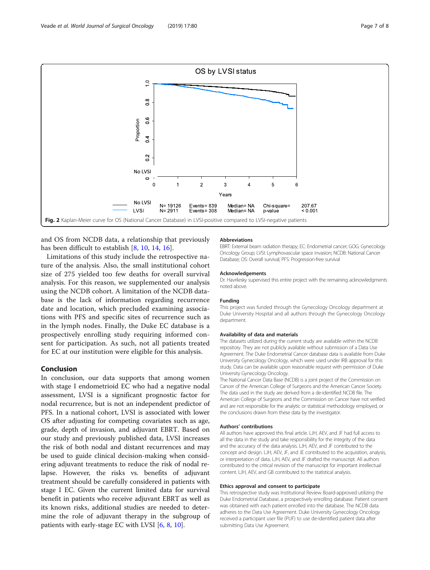<span id="page-6-0"></span>

and OS from NCDB data, a relationship that previously has been difficult to establish [[8,](#page-7-0) [10](#page-7-0), [14](#page-7-0), [16](#page-7-0)].

Limitations of this study include the retrospective nature of the analysis. Also, the small institutional cohort size of 275 yielded too few deaths for overall survival analysis. For this reason, we supplemented our analysis using the NCDB cohort. A limitation of the NCDB database is the lack of information regarding recurrence date and location, which precluded examining associations with PFS and specific sites of recurrence such as in the lymph nodes. Finally, the Duke EC database is a prospectively enrolling study requiring informed consent for participation. As such, not all patients treated for EC at our institution were eligible for this analysis.

## Conclusion

In conclusion, our data supports that among women with stage I endometrioid EC who had a negative nodal assessment, LVSI is a significant prognostic factor for nodal recurrence, but is not an independent predictor of PFS. In a national cohort, LVSI is associated with lower OS after adjusting for competing covariates such as age, grade, depth of invasion, and adjuvant EBRT. Based on our study and previously published data, LVSI increases the risk of both nodal and distant recurrences and may be used to guide clinical decision-making when considering adjuvant treatments to reduce the risk of nodal relapse. However, the risks vs. benefits of adjuvant treatment should be carefully considered in patients with stage I EC. Given the current limited data for survival benefit in patients who receive adjuvant EBRT as well as its known risks, additional studies are needed to determine the role of adjuvant therapy in the subgroup of patients with early-stage EC with LVSI [[6,](#page-7-0) [8,](#page-7-0) [10\]](#page-7-0).

#### Abbreviations

EBRT: External beam radiation therapy; EC: Endometrial cancer; GOG: Gynecology Oncology Group; LVSI: Lymphovascular space invasion; NCDB: National Cancer Database; OS: Overall survival; PFS: Progression-free survival

#### Acknowledgements

Dr. Havrilesky supervised this entire project with the remaining acknowledgments noted above.

#### Funding

This project was funded through the Gynecology Oncology department at Duke University Hospital and all authors through the Gynecology Oncology department.

#### Availability of data and materials

The datasets utilized during the current study are available within the NCDB repository. They are not publicly available without submission of a Data Use Agreement. The Duke Endometrial Cancer database data is available from Duke University Gynecology Oncology, which were used under IRB approval for this study. Data can be available upon reasonable request with permission of Duke University Gynecology Oncology.

The National Cancer Data Base (NCDB) is a joint project of the Commission on Cancer of the American College of Surgeons and the American Cancer Society. The data used in the study are derived from a de-identified NCDB file. The American College of Surgeons and the Commission on Cancer have not verified and are not responsible for the analytic or statistical methodology employed, or the conclusions drawn from these data by the investigator.

#### Authors' contributions

All authors have approved this final article. LJH, AEV, and JF had full access to all the data in the study and take responsibility for the integrity of the data and the accuracy of the data analysis. LJH, AEV, and JF contributed to the concept and design. LJH, AEV, JF, and JE contributed to the acquisition, analysis, or interpretation of data. LJH, AEV, and JF drafted the manuscript. All authors contributed to the critical revision of the manuscript for important intellectual content. LJH, AEV, and GB contributed to the statistical analysis.

#### Ethics approval and consent to participate

This retrospective study was Institutional Review Board-approved utilizing the Duke Endometrial Database, a prospectively enrolling database. Patient consent was obtained with each patient enrolled into the database. The NCDB data adheres to the Data Use Agreement. Duke University Gynecology Oncology received a participant user file (PUF) to use de-identified patient data after submitting Data Use Agreement.